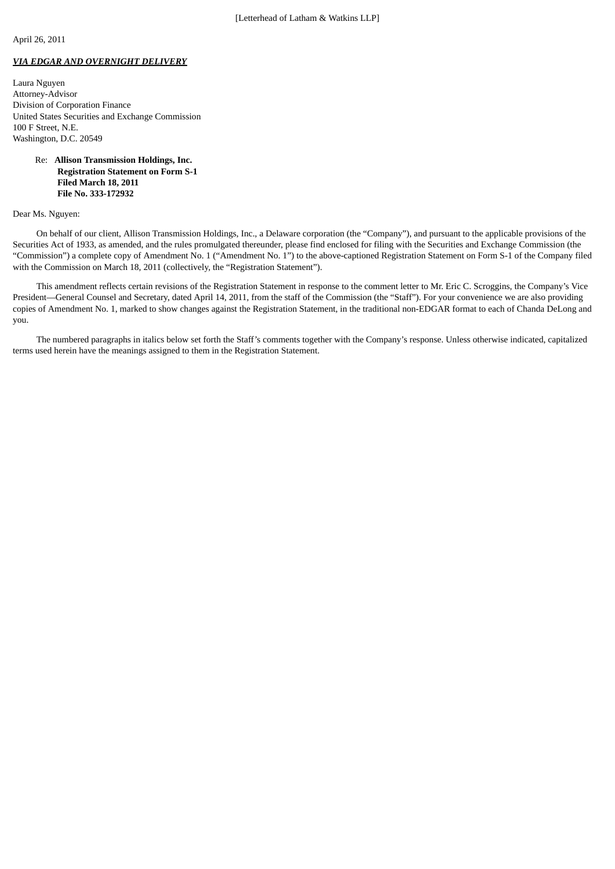## *VIA EDGAR AND OVERNIGHT DELIVERY*

Laura Nguyen Attorney-Advisor Division of Corporation Finance United States Securities and Exchange Commission 100 F Street, N.E. Washington, D.C. 20549

# Re: **Allison Transmission Holdings, Inc. Registration Statement on Form S-1 Filed March 18, 2011 File No. 333-172932**

Dear Ms. Nguyen:

On behalf of our client, Allison Transmission Holdings, Inc., a Delaware corporation (the "Company"), and pursuant to the applicable provisions of the Securities Act of 1933, as amended, and the rules promulgated thereunder, please find enclosed for filing with the Securities and Exchange Commission (the "Commission") a complete copy of Amendment No. 1 ("Amendment No. 1") to the above-captioned Registration Statement on Form S-1 of the Company filed with the Commission on March 18, 2011 (collectively, the "Registration Statement").

This amendment reflects certain revisions of the Registration Statement in response to the comment letter to Mr. Eric C. Scroggins, the Company's Vice President—General Counsel and Secretary, dated April 14, 2011, from the staff of the Commission (the "Staff"). For your convenience we are also providing copies of Amendment No. 1, marked to show changes against the Registration Statement, in the traditional non-EDGAR format to each of Chanda DeLong and you.

The numbered paragraphs in italics below set forth the Staff's comments together with the Company's response. Unless otherwise indicated, capitalized terms used herein have the meanings assigned to them in the Registration Statement.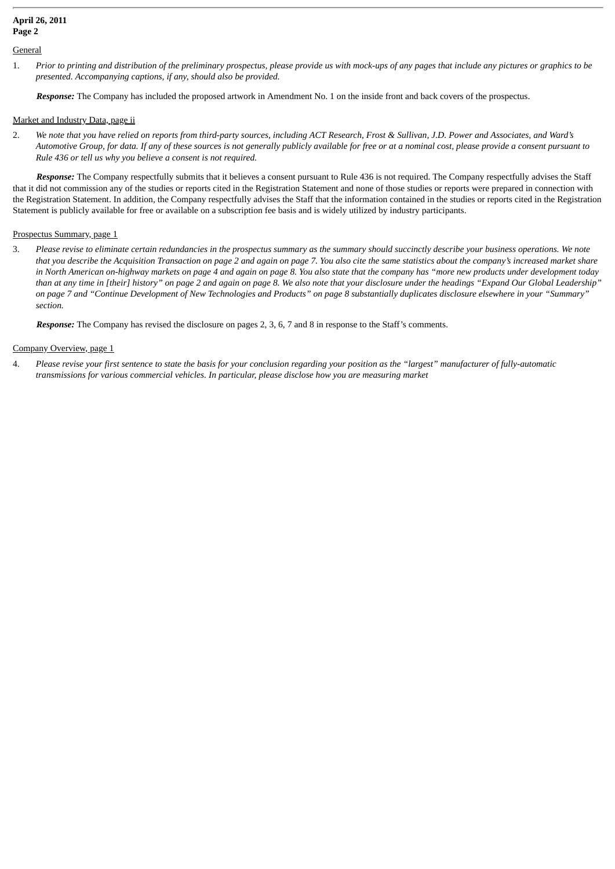## **General**

1. *Prior to printing and distribution of the preliminary prospectus, please provide us with mock-ups of any pages that include any pictures or graphics to be presented. Accompanying captions, if any, should also be provided.*

*Response:* The Company has included the proposed artwork in Amendment No. 1 on the inside front and back covers of the prospectus.

#### Market and Industry Data, page ii

2. *We note that you have relied on reports from third-party sources, including ACT Research, Frost & Sullivan, J.D. Power and Associates, and Ward's Automotive Group, for data. If any of these sources is not generally publicly available for free or at a nominal cost, please provide a consent pursuant to Rule 436 or tell us why you believe a consent is not required.*

*Response:* The Company respectfully submits that it believes a consent pursuant to Rule 436 is not required. The Company respectfully advises the Staff that it did not commission any of the studies or reports cited in the Registration Statement and none of those studies or reports were prepared in connection with the Registration Statement. In addition, the Company respectfully advises the Staff that the information contained in the studies or reports cited in the Registration Statement is publicly available for free or available on a subscription fee basis and is widely utilized by industry participants.

#### Prospectus Summary, page 1

3. *Please revise to eliminate certain redundancies in the prospectus summary as the summary should succinctly describe your business operations. We note that you describe the Acquisition Transaction on page 2 and again on page 7. You also cite the same statistics about the company's increased market share in North American on-highway markets on page 4 and again on page 8. You also state that the company has "more new products under development today than at any time in [their] history" on page 2 and again on page 8. We also note that your disclosure under the headings "Expand Our Global Leadership" on page 7 and "Continue Development of New Technologies and Products" on page 8 substantially duplicates disclosure elsewhere in your "Summary" section.*

*Response:* The Company has revised the disclosure on pages 2, 3, 6, 7 and 8 in response to the Staff's comments.

# Company Overview, page 1

4. *Please revise your first sentence to state the basis for your conclusion regarding your position as the "largest" manufacturer of fully-automatic transmissions for various commercial vehicles. In particular, please disclose how you are measuring market*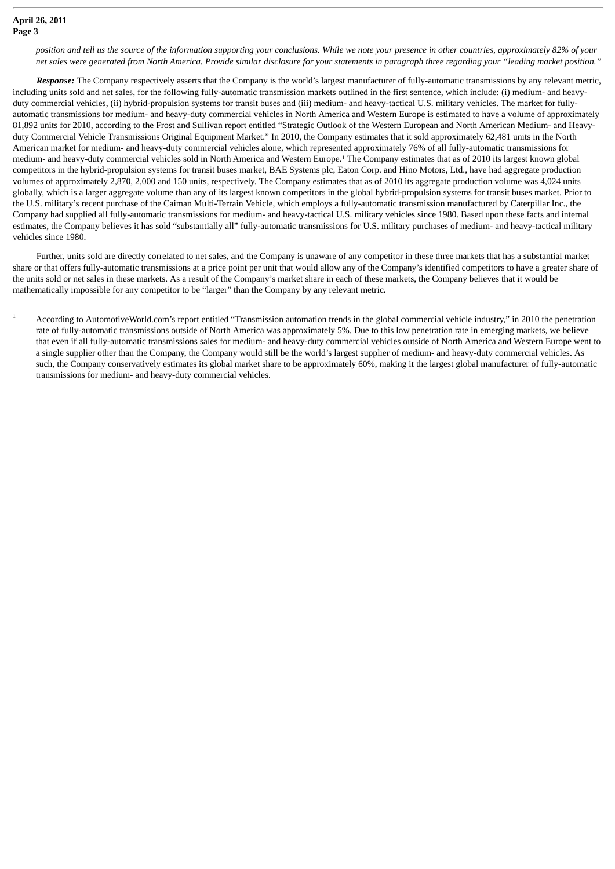*position and tell us the source of the information supporting your conclusions. While we note your presence in other countries, approximately 82% of your net sales were generated from North America. Provide similar disclosure for your statements in paragraph three regarding your "leading market position."*

*Response:* The Company respectively asserts that the Company is the world's largest manufacturer of fully-automatic transmissions by any relevant metric, including units sold and net sales, for the following fully-automatic transmission markets outlined in the first sentence, which include: (i) medium- and heavyduty commercial vehicles, (ii) hybrid-propulsion systems for transit buses and (iii) medium- and heavy-tactical U.S. military vehicles. The market for fullyautomatic transmissions for medium- and heavy-duty commercial vehicles in North America and Western Europe is estimated to have a volume of approximately 81,892 units for 2010, according to the Frost and Sullivan report entitled "Strategic Outlook of the Western European and North American Medium- and Heavyduty Commercial Vehicle Transmissions Original Equipment Market." In 2010, the Company estimates that it sold approximately 62,481 units in the North American market for medium- and heavy-duty commercial vehicles alone, which represented approximately 76% of all fully-automatic transmissions for medium- and heavy-duty commercial vehicles sold in North America and Western Europe.<sup>1</sup> The Company estimates that as of 2010 its largest known global competitors in the hybrid-propulsion systems for transit buses market, BAE Systems plc, Eaton Corp. and Hino Motors, Ltd., have had aggregate production volumes of approximately 2,870, 2,000 and 150 units, respectively. The Company estimates that as of 2010 its aggregate production volume was 4,024 units globally, which is a larger aggregate volume than any of its largest known competitors in the global hybrid-propulsion systems for transit buses market. Prior to the U.S. military's recent purchase of the Caiman Multi-Terrain Vehicle, which employs a fully-automatic transmission manufactured by Caterpillar Inc., the Company had supplied all fully-automatic transmissions for medium- and heavy-tactical U.S. military vehicles since 1980. Based upon these facts and internal estimates, the Company believes it has sold "substantially all" fully-automatic transmissions for U.S. military purchases of medium- and heavy-tactical military vehicles since 1980.

Further, units sold are directly correlated to net sales, and the Company is unaware of any competitor in these three markets that has a substantial market share or that offers fully-automatic transmissions at a price point per unit that would allow any of the Company's identified competitors to have a greater share of the units sold or net sales in these markets. As a result of the Company's market share in each of these markets, the Company believes that it would be mathematically impossible for any competitor to be "larger" than the Company by any relevant metric.

According to AutomotiveWorld.com's report entitled "Transmission automation trends in the global commercial vehicle industry," in 2010 the penetration rate of fully-automatic transmissions outside of North America was approximately 5%. Due to this low penetration rate in emerging markets, we believe that even if all fully-automatic transmissions sales for medium- and heavy-duty commercial vehicles outside of North America and Western Europe went to a single supplier other than the Company, the Company would still be the world's largest supplier of medium- and heavy-duty commercial vehicles. As such, the Company conservatively estimates its global market share to be approximately 60%, making it the largest global manufacturer of fully-automatic transmissions for medium- and heavy-duty commercial vehicles. 1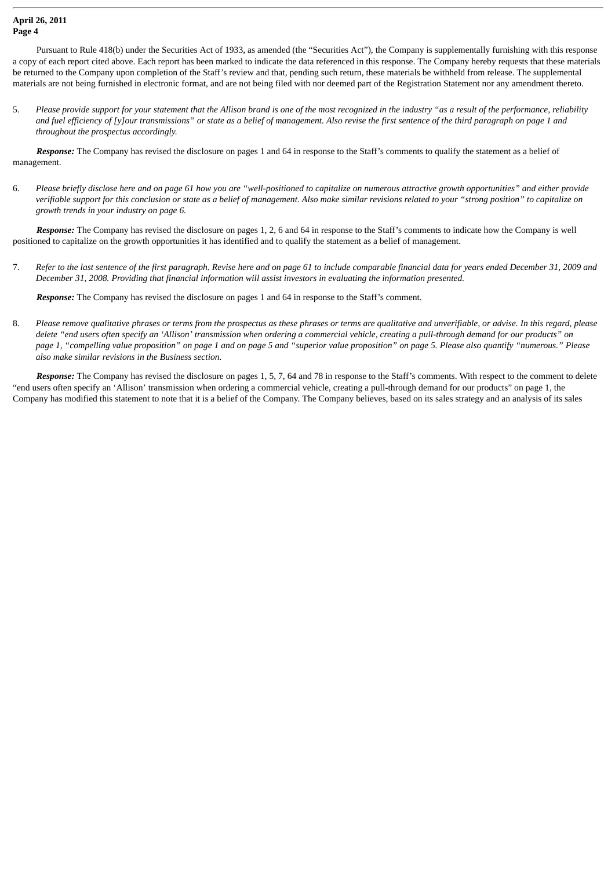Pursuant to Rule 418(b) under the Securities Act of 1933, as amended (the "Securities Act"), the Company is supplementally furnishing with this response a copy of each report cited above. Each report has been marked to indicate the data referenced in this response. The Company hereby requests that these materials be returned to the Company upon completion of the Staff's review and that, pending such return, these materials be withheld from release. The supplemental materials are not being furnished in electronic format, and are not being filed with nor deemed part of the Registration Statement nor any amendment thereto.

5. *Please provide support for your statement that the Allison brand is one of the most recognized in the industry "as a result of the performance, reliability and fuel efficiency of [y]our transmissions" or state as a belief of management. Also revise the first sentence of the third paragraph on page 1 and throughout the prospectus accordingly.*

*Response:* The Company has revised the disclosure on pages 1 and 64 in response to the Staff's comments to qualify the statement as a belief of management.

6. *Please briefly disclose here and on page 61 how you are "well-positioned to capitalize on numerous attractive growth opportunities" and either provide verifiable support for this conclusion or state as a belief of management. Also make similar revisions related to your "strong position" to capitalize on growth trends in your industry on page 6.*

*Response:* The Company has revised the disclosure on pages 1, 2, 6 and 64 in response to the Staff's comments to indicate how the Company is well positioned to capitalize on the growth opportunities it has identified and to qualify the statement as a belief of management.

7. *Refer to the last sentence of the first paragraph. Revise here and on page 61 to include comparable financial data for years ended December 31, 2009 and December 31, 2008. Providing that financial information will assist investors in evaluating the information presented.*

*Response:* The Company has revised the disclosure on pages 1 and 64 in response to the Staff's comment.

8. *Please remove qualitative phrases or terms from the prospectus as these phrases or terms are qualitative and unverifiable, or advise. In this regard, please delete "end users often specify an 'Allison' transmission when ordering a commercial vehicle, creating a pull-through demand for our products" on page 1, "compelling value proposition" on page 1 and on page 5 and "superior value proposition" on page 5. Please also quantify "numerous." Please also make similar revisions in the Business section.*

*Response:* The Company has revised the disclosure on pages 1, 5, 7, 64 and 78 in response to the Staff's comments. With respect to the comment to delete "end users often specify an 'Allison' transmission when ordering a commercial vehicle, creating a pull-through demand for our products" on page 1, the Company has modified this statement to note that it is a belief of the Company. The Company believes, based on its sales strategy and an analysis of its sales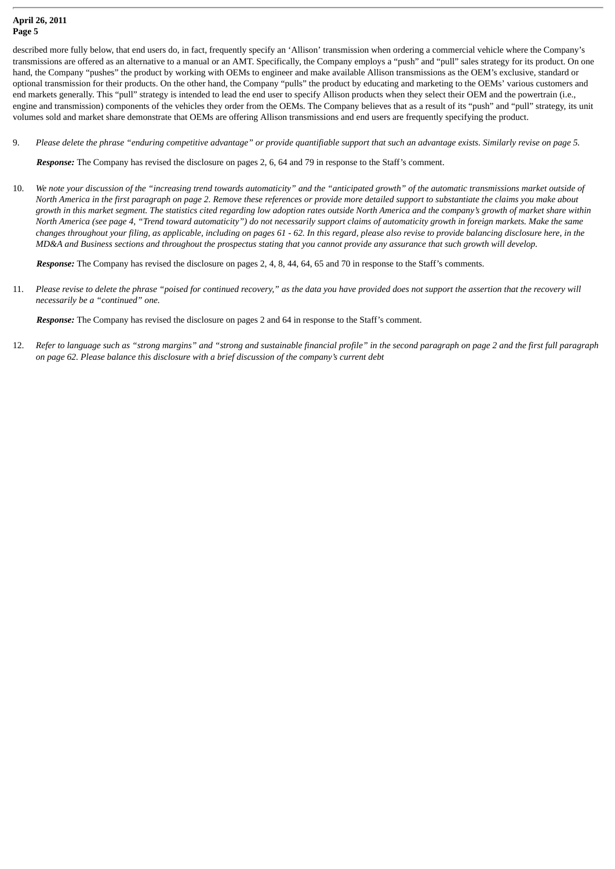described more fully below, that end users do, in fact, frequently specify an 'Allison' transmission when ordering a commercial vehicle where the Company's transmissions are offered as an alternative to a manual or an AMT. Specifically, the Company employs a "push" and "pull" sales strategy for its product. On one hand, the Company "pushes" the product by working with OEMs to engineer and make available Allison transmissions as the OEM's exclusive, standard or optional transmission for their products. On the other hand, the Company "pulls" the product by educating and marketing to the OEMs' various customers and end markets generally. This "pull" strategy is intended to lead the end user to specify Allison products when they select their OEM and the powertrain (i.e., engine and transmission) components of the vehicles they order from the OEMs. The Company believes that as a result of its "push" and "pull" strategy, its unit volumes sold and market share demonstrate that OEMs are offering Allison transmissions and end users are frequently specifying the product.

9. *Please delete the phrase "enduring competitive advantage" or provide quantifiable support that such an advantage exists. Similarly revise on page 5.*

*Response:* The Company has revised the disclosure on pages 2, 6, 64 and 79 in response to the Staff's comment.

10. *We note your discussion of the "increasing trend towards automaticity" and the "anticipated growth" of the automatic transmissions market outside of North America in the first paragraph on page 2. Remove these references or provide more detailed support to substantiate the claims you make about growth in this market segment. The statistics cited regarding low adoption rates outside North America and the company's growth of market share within North America (see page 4, "Trend toward automaticity") do not necessarily support claims of automaticity growth in foreign markets. Make the same changes throughout your filing, as applicable, including on pages 61 - 62. In this regard, please also revise to provide balancing disclosure here, in the MD&A and Business sections and throughout the prospectus stating that you cannot provide any assurance that such growth will develop.*

*Response:* The Company has revised the disclosure on pages 2, 4, 8, 44, 64, 65 and 70 in response to the Staff's comments.

11. *Please revise to delete the phrase "poised for continued recovery," as the data you have provided does not support the assertion that the recovery will necessarily be a "continued" one.*

*Response:* The Company has revised the disclosure on pages 2 and 64 in response to the Staff's comment.

12. *Refer to language such as "strong margins" and "strong and sustainable financial profile" in the second paragraph on page 2 and the first full paragraph on page 62. Please balance this disclosure with a brief discussion of the company's current debt*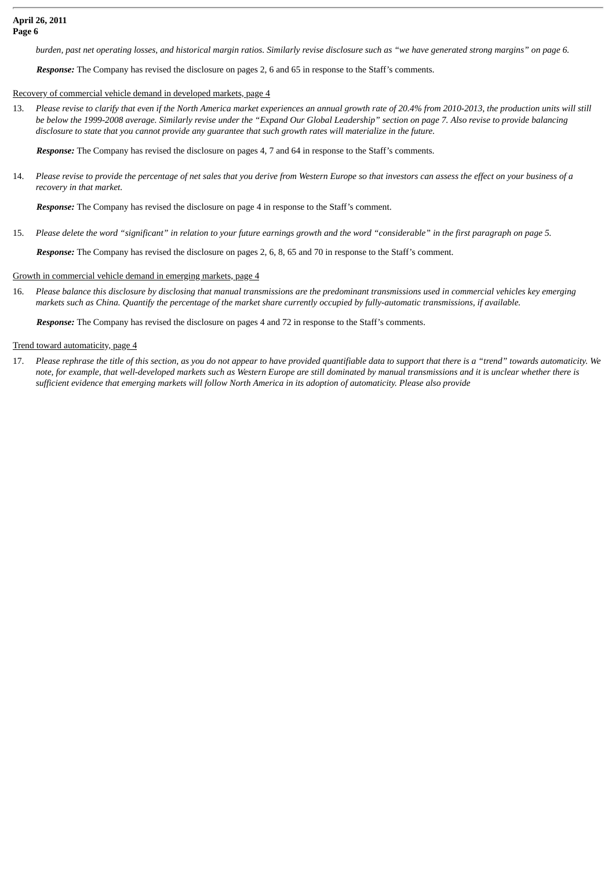*burden, past net operating losses, and historical margin ratios. Similarly revise disclosure such as "we have generated strong margins" on page 6.*

*Response:* The Company has revised the disclosure on pages 2, 6 and 65 in response to the Staff's comments.

#### Recovery of commercial vehicle demand in developed markets, page 4

13. *Please revise to clarify that even if the North America market experiences an annual growth rate of 20.4% from 2010-2013, the production units will still be below the 1999-2008 average. Similarly revise under the "Expand Our Global Leadership" section on page 7. Also revise to provide balancing disclosure to state that you cannot provide any guarantee that such growth rates will materialize in the future.*

*Response:* The Company has revised the disclosure on pages 4, 7 and 64 in response to the Staff's comments.

14. *Please revise to provide the percentage of net sales that you derive from Western Europe so that investors can assess the effect on your business of a recovery in that market.*

*Response:* The Company has revised the disclosure on page 4 in response to the Staff's comment.

15. *Please delete the word "significant" in relation to your future earnings growth and the word "considerable" in the first paragraph on page 5.*

*Response:* The Company has revised the disclosure on pages 2, 6, 8, 65 and 70 in response to the Staff's comment.

#### Growth in commercial vehicle demand in emerging markets, page 4

16. *Please balance this disclosure by disclosing that manual transmissions are the predominant transmissions used in commercial vehicles key emerging markets such as China. Quantify the percentage of the market share currently occupied by fully-automatic transmissions, if available.*

*Response:* The Company has revised the disclosure on pages 4 and 72 in response to the Staff's comments.

#### Trend toward automaticity, page 4

17. *Please rephrase the title of this section, as you do not appear to have provided quantifiable data to support that there is a "trend" towards automaticity. We note, for example, that well-developed markets such as Western Europe are still dominated by manual transmissions and it is unclear whether there is sufficient evidence that emerging markets will follow North America in its adoption of automaticity. Please also provide*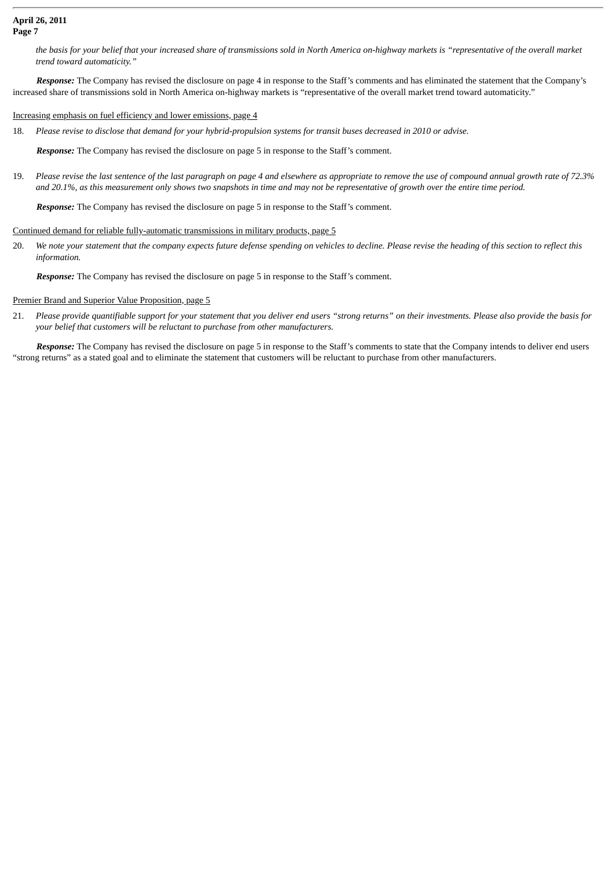*the basis for your belief that your increased share of transmissions sold in North America on-highway markets is "representative of the overall market trend toward automaticity."*

*Response:* The Company has revised the disclosure on page 4 in response to the Staff's comments and has eliminated the statement that the Company's increased share of transmissions sold in North America on-highway markets is "representative of the overall market trend toward automaticity."

#### Increasing emphasis on fuel efficiency and lower emissions, page 4

18. *Please revise to disclose that demand for your hybrid-propulsion systems for transit buses decreased in 2010 or advise.*

*Response:* The Company has revised the disclosure on page 5 in response to the Staff's comment.

19. *Please revise the last sentence of the last paragraph on page 4 and elsewhere as appropriate to remove the use of compound annual growth rate of 72.3% and 20.1%, as this measurement only shows two snapshots in time and may not be representative of growth over the entire time period.*

*Response:* The Company has revised the disclosure on page 5 in response to the Staff's comment.

#### Continued demand for reliable fully-automatic transmissions in military products, page 5

20. *We note your statement that the company expects future defense spending on vehicles to decline. Please revise the heading of this section to reflect this information.*

*Response:* The Company has revised the disclosure on page 5 in response to the Staff's comment.

#### Premier Brand and Superior Value Proposition, page 5

21. *Please provide quantifiable support for your statement that you deliver end users "strong returns" on their investments. Please also provide the basis for your belief that customers will be reluctant to purchase from other manufacturers.*

*Response:* The Company has revised the disclosure on page 5 in response to the Staff's comments to state that the Company intends to deliver end users "strong returns" as a stated goal and to eliminate the statement that customers will be reluctant to purchase from other manufacturers.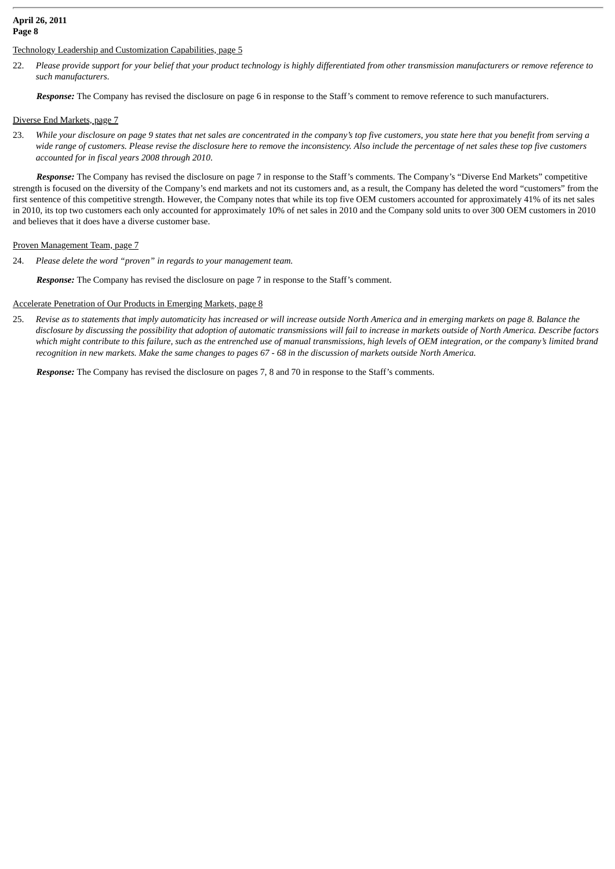## Technology Leadership and Customization Capabilities, page 5

22. *Please provide support for your belief that your product technology is highly differentiated from other transmission manufacturers or remove reference to such manufacturers.*

*Response:* The Company has revised the disclosure on page 6 in response to the Staff's comment to remove reference to such manufacturers.

#### Diverse End Markets, page 7

23. *While your disclosure on page 9 states that net sales are concentrated in the company's top five customers, you state here that you benefit from serving a wide range of customers. Please revise the disclosure here to remove the inconsistency. Also include the percentage of net sales these top five customers accounted for in fiscal years 2008 through 2010*.

*Response:* The Company has revised the disclosure on page 7 in response to the Staff's comments. The Company's "Diverse End Markets" competitive strength is focused on the diversity of the Company's end markets and not its customers and, as a result, the Company has deleted the word "customers" from the first sentence of this competitive strength. However, the Company notes that while its top five OEM customers accounted for approximately 41% of its net sales in 2010, its top two customers each only accounted for approximately 10% of net sales in 2010 and the Company sold units to over 300 OEM customers in 2010 and believes that it does have a diverse customer base.

#### Proven Management Team, page 7

24. *Please delete the word "proven" in regards to your management team.*

*Response:* The Company has revised the disclosure on page 7 in response to the Staff's comment.

#### Accelerate Penetration of Our Products in Emerging Markets, page 8

25. *Revise as to statements that imply automaticity has increased or will increase outside North America and in emerging markets on page 8. Balance the disclosure by discussing the possibility that adoption of automatic transmissions will fail to increase in markets outside of North America. Describe factors which might contribute to this failure, such as the entrenched use of manual transmissions, high levels of OEM integration, or the company's limited brand recognition in new markets. Make the same changes to pages 67 - 68 in the discussion of markets outside North America.*

*Response:* The Company has revised the disclosure on pages 7, 8 and 70 in response to the Staff's comments.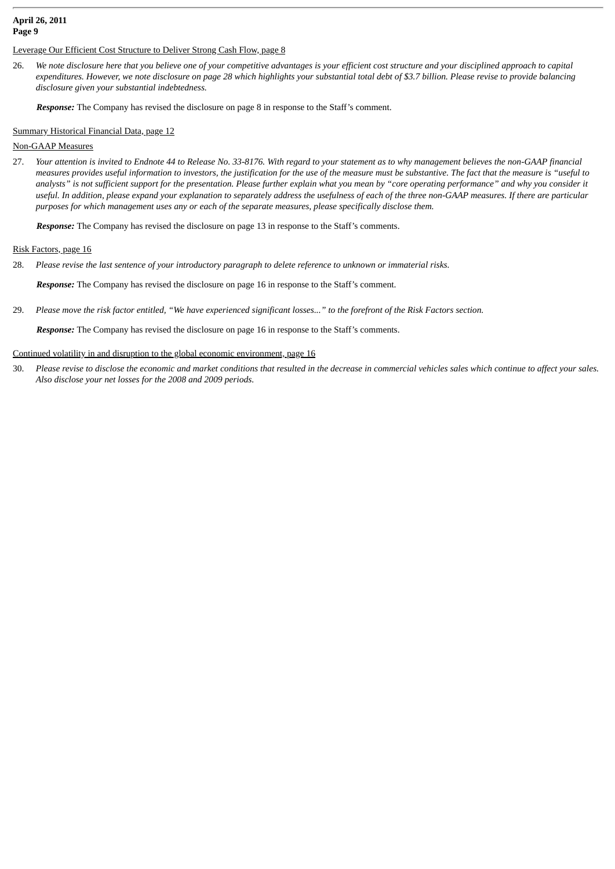## Leverage Our Efficient Cost Structure to Deliver Strong Cash Flow, page 8

26. *We note disclosure here that you believe one of your competitive advantages is your efficient cost structure and your disciplined approach to capital expenditures. However, we note disclosure on page 28 which highlights your substantial total debt of \$3.7 billion. Please revise to provide balancing disclosure given your substantial indebtedness.*

*Response:* The Company has revised the disclosure on page 8 in response to the Staff's comment.

### Summary Historical Financial Data, page 12

#### Non-GAAP Measures

27. *Your attention is invited to Endnote 44 to Release No. 33-8176. With regard to your statement as to why management believes the non-GAAP financial measures provides useful information to investors, the justification for the use of the measure must be substantive. The fact that the measure is "useful to analysts" is not sufficient support for the presentation. Please further explain what you mean by "core operating performance" and why you consider it useful. In addition, please expand your explanation to separately address the usefulness of each of the three non-GAAP measures. If there are particular purposes for which management uses any or each of the separate measures, please specifically disclose them.*

*Response:* The Company has revised the disclosure on page 13 in response to the Staff's comments.

#### Risk Factors, page 16

28. *Please revise the last sentence of your introductory paragraph to delete reference to unknown or immaterial risks.*

*Response:* The Company has revised the disclosure on page 16 in response to the Staff's comment.

29. *Please move the risk factor entitled, "We have experienced significant losses..." to the forefront of the Risk Factors section.*

*Response:* The Company has revised the disclosure on page 16 in response to the Staff's comments.

#### Continued volatility in and disruption to the global economic environment, page 16

30. *Please revise to disclose the economic and market conditions that resulted in the decrease in commercial vehicles sales which continue to affect your sales. Also disclose your net losses for the 2008 and 2009 periods.*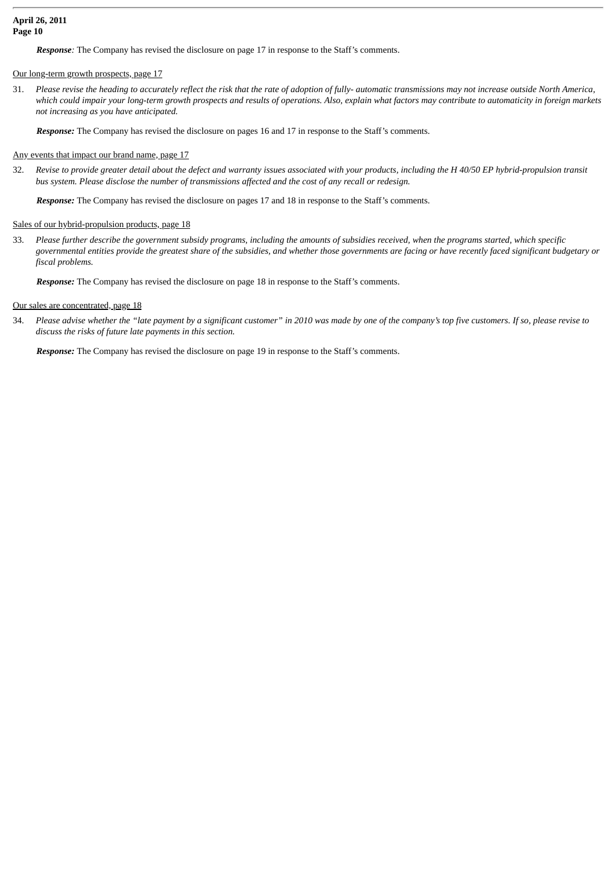*Response:* The Company has revised the disclosure on page 17 in response to the Staff's comments.

### Our long-term growth prospects, page 17

31. *Please revise the heading to accurately reflect the risk that the rate of adoption of fully- automatic transmissions may not increase outside North America, which could impair your long-term growth prospects and results of operations. Also, explain what factors may contribute to automaticity in foreign markets not increasing as you have anticipated.*

*Response:* The Company has revised the disclosure on pages 16 and 17 in response to the Staff's comments.

### Any events that impact our brand name, page 17

32. *Revise to provide greater detail about the defect and warranty issues associated with your products, including the H 40/50 EP hybrid-propulsion transit bus system. Please disclose the number of transmissions affected and the cost of any recall or redesign.*

*Response:* The Company has revised the disclosure on pages 17 and 18 in response to the Staff's comments.

#### Sales of our hybrid-propulsion products, page 18

33. *Please further describe the government subsidy programs, including the amounts of subsidies received, when the programs started, which specific governmental entities provide the greatest share of the subsidies, and whether those governments are facing or have recently faced significant budgetary or fiscal problems.*

*Response:* The Company has revised the disclosure on page 18 in response to the Staff's comments.

#### Our sales are concentrated, page 18

34. *Please advise whether the "late payment by a significant customer" in 2010 was made by one of the company's top five customers. If so, please revise to discuss the risks of future late payments in this section.*

*Response:* The Company has revised the disclosure on page 19 in response to the Staff's comments.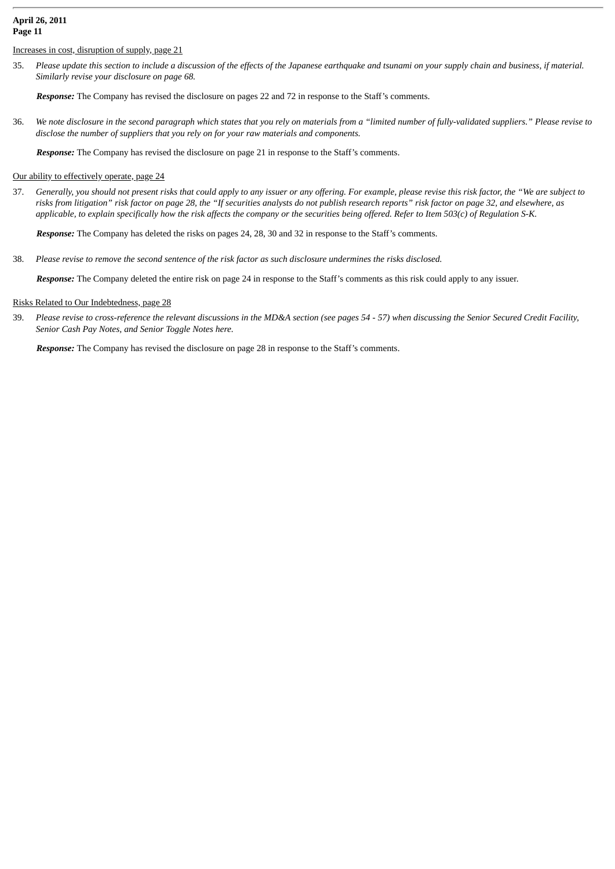Increases in cost, disruption of supply, page 21

35. *Please update this section to include a discussion of the effects of the Japanese earthquake and tsunami on your supply chain and business, if material. Similarly revise your disclosure on page 68.*

*Response:* The Company has revised the disclosure on pages 22 and 72 in response to the Staff's comments.

36. *We note disclosure in the second paragraph which states that you rely on materials from a "limited number of fully-validated suppliers." Please revise to disclose the number of suppliers that you rely on for your raw materials and components.*

*Response:* The Company has revised the disclosure on page 21 in response to the Staff's comments.

### Our ability to effectively operate, page 24

37. *Generally, you should not present risks that could apply to any issuer or any offering. For example, please revise this risk factor, the "We are subject to risks from litigation" risk factor on page 28, the "If securities analysts do not publish research reports" risk factor on page 32, and elsewhere, as applicable, to explain specifically how the risk affects the company or the securities being offered. Refer to Item 503(c) of Regulation S-K.*

*Response:* The Company has deleted the risks on pages 24, 28, 30 and 32 in response to the Staff's comments.

38. *Please revise to remove the second sentence of the risk factor as such disclosure undermines the risks disclosed.*

*Response:* The Company deleted the entire risk on page 24 in response to the Staff's comments as this risk could apply to any issuer.

#### Risks Related to Our Indebtedness, page 28

39. *Please revise to cross-reference the relevant discussions in the MD&A section (see pages 54 - 57) when discussing the Senior Secured Credit Facility, Senior Cash Pay Notes, and Senior Toggle Notes here.*

*Response:* The Company has revised the disclosure on page 28 in response to the Staff's comments.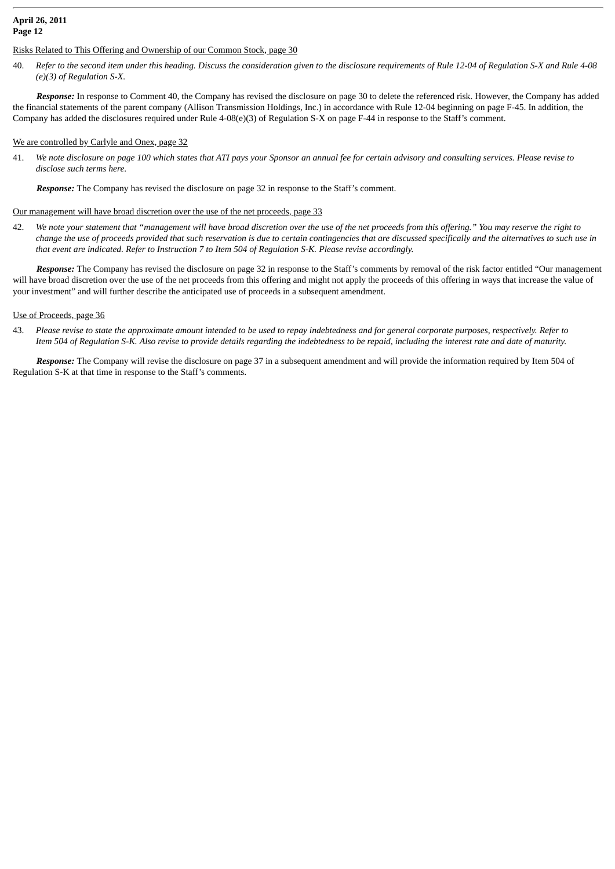# Risks Related to This Offering and Ownership of our Common Stock, page 30

40. *Refer to the second item under this heading. Discuss the consideration given to the disclosure requirements of Rule 12-04 of Regulation S-X and Rule 4-08 (e)(3) of Regulation S-X.*

*Response:* In response to Comment 40, the Company has revised the disclosure on page 30 to delete the referenced risk. However, the Company has added the financial statements of the parent company (Allison Transmission Holdings, Inc.) in accordance with Rule 12-04 beginning on page F-45. In addition, the Company has added the disclosures required under Rule 4-08(e)(3) of Regulation S-X on page F-44 in response to the Staff's comment.

### We are controlled by Carlyle and Onex, page 32

41. *We note disclosure on page 100 which states that ATI pays your Sponsor an annual fee for certain advisory and consulting services. Please revise to disclose such terms here.*

*Response:* The Company has revised the disclosure on page 32 in response to the Staff's comment.

### Our management will have broad discretion over the use of the net proceeds, page 33

42. *We note your statement that "management will have broad discretion over the use of the net proceeds from this offering." You may reserve the right to change the use of proceeds provided that such reservation is due to certain contingencies that are discussed specifically and the alternatives to such use in that event are indicated. Refer to Instruction 7 to Item 504 of Regulation S-K. Please revise accordingly.*

*Response:* The Company has revised the disclosure on page 32 in response to the Staff's comments by removal of the risk factor entitled "Our management will have broad discretion over the use of the net proceeds from this offering and might not apply the proceeds of this offering in ways that increase the value of your investment" and will further describe the anticipated use of proceeds in a subsequent amendment.

#### Use of Proceeds, page 36

43. *Please revise to state the approximate amount intended to be used to repay indebtedness and for general corporate purposes, respectively. Refer to Item 504 of Regulation S-K. Also revise to provide details regarding the indebtedness to be repaid, including the interest rate and date of maturity.*

*Response:* The Company will revise the disclosure on page 37 in a subsequent amendment and will provide the information required by Item 504 of Regulation S-K at that time in response to the Staff's comments.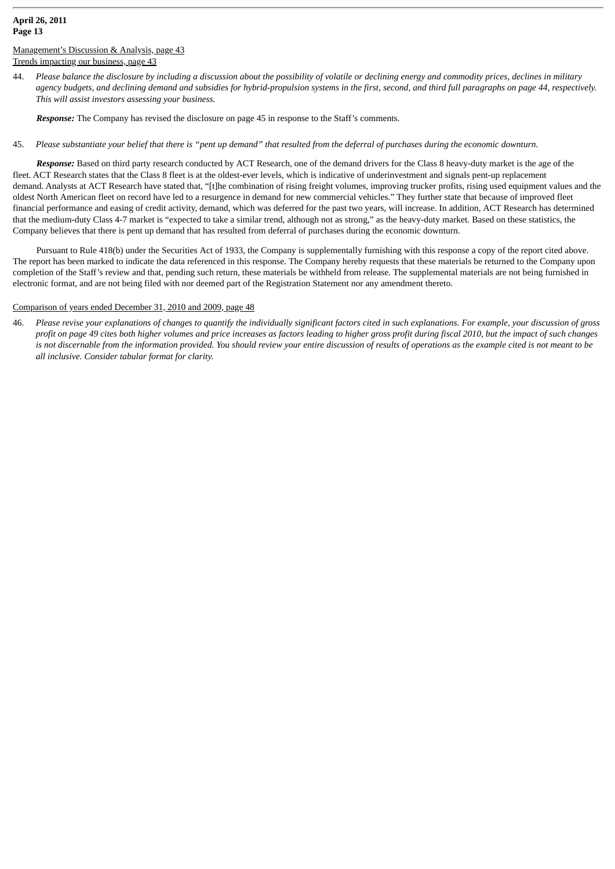### Management's Discussion & Analysis, page 43 Trends impacting our business, page 43

44. *Please balance the disclosure by including a discussion about the possibility of volatile or declining energy and commodity prices, declines in military agency budgets, and declining demand and subsidies for hybrid-propulsion systems in the first, second, and third full paragraphs on page 44, respectively. This will assist investors assessing your business.*

*Response:* The Company has revised the disclosure on page 45 in response to the Staff's comments.

45. *Please substantiate your belief that there is "pent up demand" that resulted from the deferral of purchases during the economic downturn.*

*Response:* Based on third party research conducted by ACT Research, one of the demand drivers for the Class 8 heavy-duty market is the age of the fleet. ACT Research states that the Class 8 fleet is at the oldest-ever levels, which is indicative of underinvestment and signals pent-up replacement demand. Analysts at ACT Research have stated that, "[t]he combination of rising freight volumes, improving trucker profits, rising used equipment values and the oldest North American fleet on record have led to a resurgence in demand for new commercial vehicles." They further state that because of improved fleet financial performance and easing of credit activity, demand, which was deferred for the past two years, will increase. In addition, ACT Research has determined that the medium-duty Class 4-7 market is "expected to take a similar trend, although not as strong," as the heavy-duty market. Based on these statistics, the Company believes that there is pent up demand that has resulted from deferral of purchases during the economic downturn.

Pursuant to Rule 418(b) under the Securities Act of 1933, the Company is supplementally furnishing with this response a copy of the report cited above. The report has been marked to indicate the data referenced in this response. The Company hereby requests that these materials be returned to the Company upon completion of the Staff's review and that, pending such return, these materials be withheld from release. The supplemental materials are not being furnished in electronic format, and are not being filed with nor deemed part of the Registration Statement nor any amendment thereto.

## Comparison of years ended December 31, 2010 and 2009, page 48

46. *Please revise your explanations of changes to quantify the individually significant factors cited in such explanations. For example, your discussion of gross profit on page 49 cites both higher volumes and price increases as factors leading to higher gross profit during fiscal 2010, but the impact of such changes is not discernable from the information provided. You should review your entire discussion of results of operations as the example cited is not meant to be all inclusive. Consider tabular format for clarity.*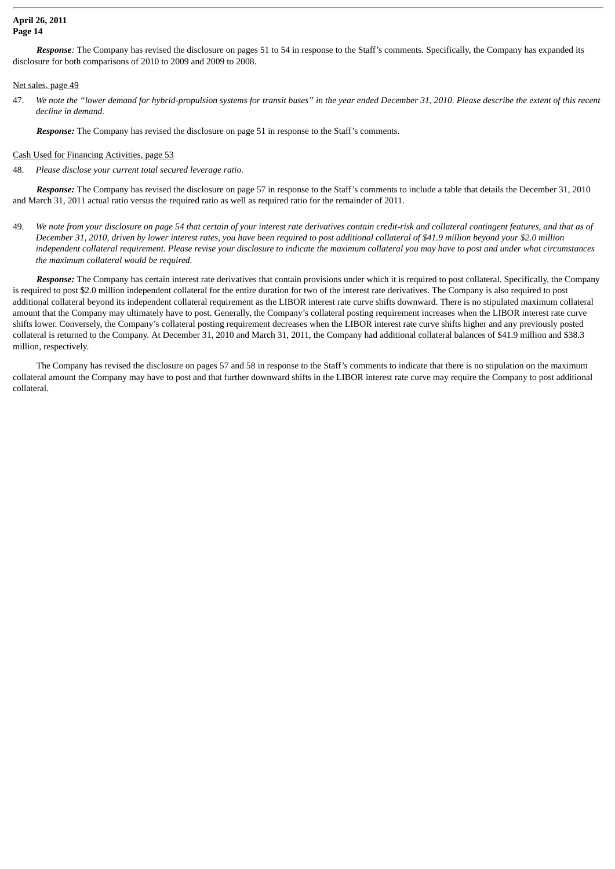*Response:* The Company has revised the disclosure on pages 51 to 54 in response to the Staff's comments. Specifically, the Company has expanded its disclosure for both comparisons of 2010 to 2009 and 2009 to 2008.

## Net sales, page 49

47. *We note the "lower demand for hybrid-propulsion systems for transit buses" in the year ended December 31, 2010. Please describe the extent of this recent decline in demand.*

*Response:* The Company has revised the disclosure on page 51 in response to the Staff's comments.

#### Cash Used for Financing Activities, page 53

48. *Please disclose your current total secured leverage ratio.*

*Response:* The Company has revised the disclosure on page 57 in response to the Staff's comments to include a table that details the December 31, 2010 and March 31, 2011 actual ratio versus the required ratio as well as required ratio for the remainder of 2011.

49. *We note from your disclosure on page 54 that certain of your interest rate derivatives contain credit-risk and collateral contingent features, and that as of December 31, 2010, driven by lower interest rates, you have been required to post additional collateral of \$41.9 million beyond your \$2.0 million independent collateral requirement. Please revise your disclosure to indicate the maximum collateral you may have to post and under what circumstances the maximum collateral would be required.*

*Response:* The Company has certain interest rate derivatives that contain provisions under which it is required to post collateral. Specifically, the Company is required to post \$2.0 million independent collateral for the entire duration for two of the interest rate derivatives. The Company is also required to post additional collateral beyond its independent collateral requirement as the LIBOR interest rate curve shifts downward. There is no stipulated maximum collateral amount that the Company may ultimately have to post. Generally, the Company's collateral posting requirement increases when the LIBOR interest rate curve shifts lower. Conversely, the Company's collateral posting requirement decreases when the LIBOR interest rate curve shifts higher and any previously posted collateral is returned to the Company. At December 31, 2010 and March 31, 2011, the Company had additional collateral balances of \$41.9 million and \$38.3 million, respectively.

The Company has revised the disclosure on pages 57 and 58 in response to the Staff's comments to indicate that there is no stipulation on the maximum collateral amount the Company may have to post and that further downward shifts in the LIBOR interest rate curve may require the Company to post additional collateral.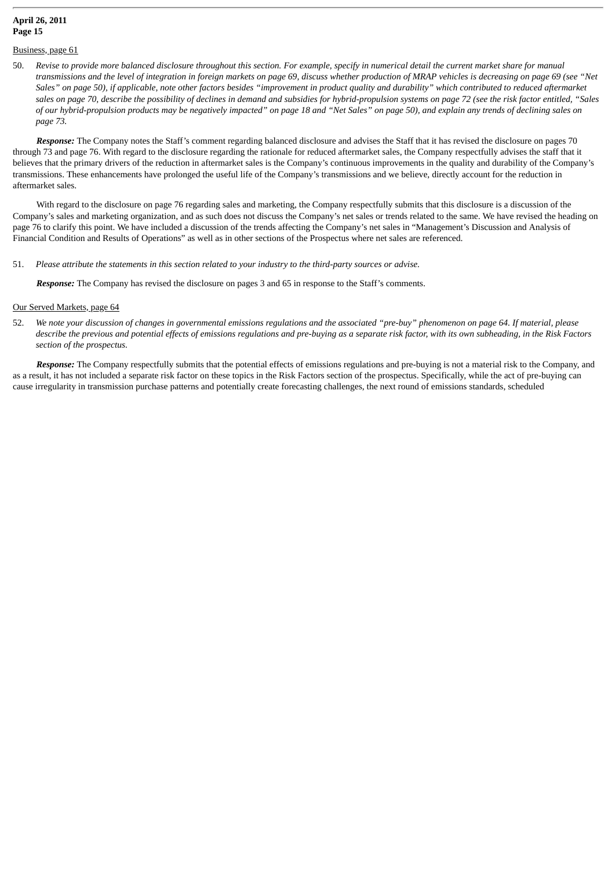#### Business, page 61

50. *Revise to provide more balanced disclosure throughout this section. For example, specify in numerical detail the current market share for manual transmissions and the level of integration in foreign markets on page 69, discuss whether production of MRAP vehicles is decreasing on page 69 (see "Net* Sales" on page 50), if applicable, note other factors besides "improvement in product quality and durability" which contributed to reduced aftermarket *sales on page 70, describe the possibility of declines in demand and subsidies for hybrid-propulsion systems on page 72 (see the risk factor entitled, "Sales of our hybrid-propulsion products may be negatively impacted" on page 18 and "Net Sales" on page 50), and explain any trends of declining sales on page 73.*

*Response:* The Company notes the Staff's comment regarding balanced disclosure and advises the Staff that it has revised the disclosure on pages 70 through 73 and page 76. With regard to the disclosure regarding the rationale for reduced aftermarket sales, the Company respectfully advises the staff that it believes that the primary drivers of the reduction in aftermarket sales is the Company's continuous improvements in the quality and durability of the Company's transmissions. These enhancements have prolonged the useful life of the Company's transmissions and we believe, directly account for the reduction in aftermarket sales.

With regard to the disclosure on page 76 regarding sales and marketing, the Company respectfully submits that this disclosure is a discussion of the Company's sales and marketing organization, and as such does not discuss the Company's net sales or trends related to the same. We have revised the heading on page 76 to clarify this point. We have included a discussion of the trends affecting the Company's net sales in "Management's Discussion and Analysis of Financial Condition and Results of Operations" as well as in other sections of the Prospectus where net sales are referenced.

## 51. *Please attribute the statements in this section related to your industry to the third-party sources or advise.*

*Response:* The Company has revised the disclosure on pages 3 and 65 in response to the Staff's comments.

## Our Served Markets, page 64

52. *We note your discussion of changes in governmental emissions regulations and the associated "pre-buy" phenomenon on page 64. If material, please describe the previous and potential effects of emissions regulations and pre-buying as a separate risk factor, with its own subheading, in the Risk Factors section of the prospectus.*

*Response:* The Company respectfully submits that the potential effects of emissions regulations and pre-buying is not a material risk to the Company, and as a result, it has not included a separate risk factor on these topics in the Risk Factors section of the prospectus. Specifically, while the act of pre-buying can cause irregularity in transmission purchase patterns and potentially create forecasting challenges, the next round of emissions standards, scheduled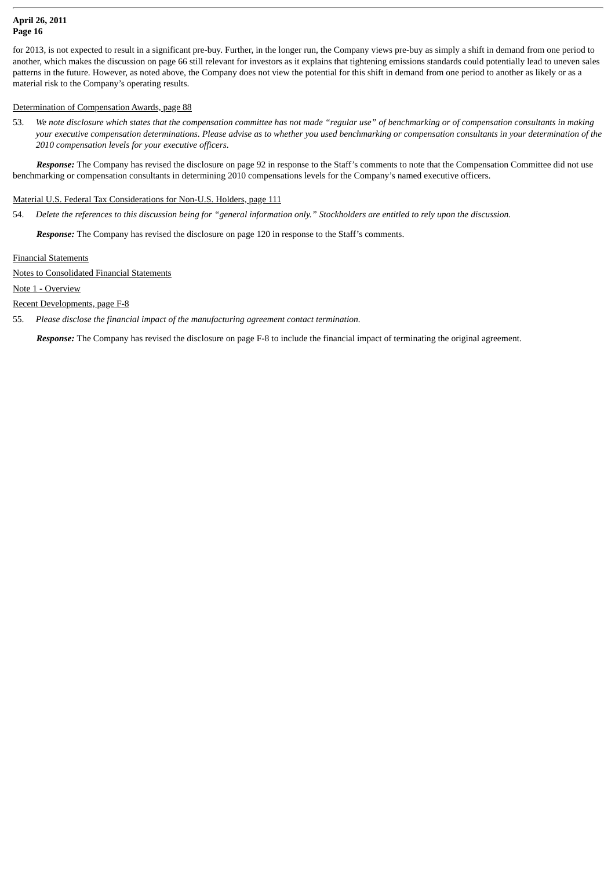for 2013, is not expected to result in a significant pre-buy. Further, in the longer run, the Company views pre-buy as simply a shift in demand from one period to another, which makes the discussion on page 66 still relevant for investors as it explains that tightening emissions standards could potentially lead to uneven sales patterns in the future. However, as noted above, the Company does not view the potential for this shift in demand from one period to another as likely or as a material risk to the Company's operating results.

# Determination of Compensation Awards, page 88

53. *We note disclosure which states that the compensation committee has not made "regular use" of benchmarking or of compensation consultants in making your executive compensation determinations. Please advise as to whether you used benchmarking or compensation consultants in your determination of the 2010 compensation levels for your executive officers.*

*Response:* The Company has revised the disclosure on page 92 in response to the Staff's comments to note that the Compensation Committee did not use benchmarking or compensation consultants in determining 2010 compensations levels for the Company's named executive officers.

### Material U.S. Federal Tax Considerations for Non-U.S. Holders, page 111

54. *Delete the references to this discussion being for "general information only." Stockholders are entitled to rely upon the discussion.*

*Response:* The Company has revised the disclosure on page 120 in response to the Staff's comments.

## Financial Statements

Notes to Consolidated Financial Statements

## Note 1 - Overview

#### Recent Developments, page F-8

55. *Please disclose the financial impact of the manufacturing agreement contact termination.*

*Response:* The Company has revised the disclosure on page F-8 to include the financial impact of terminating the original agreement.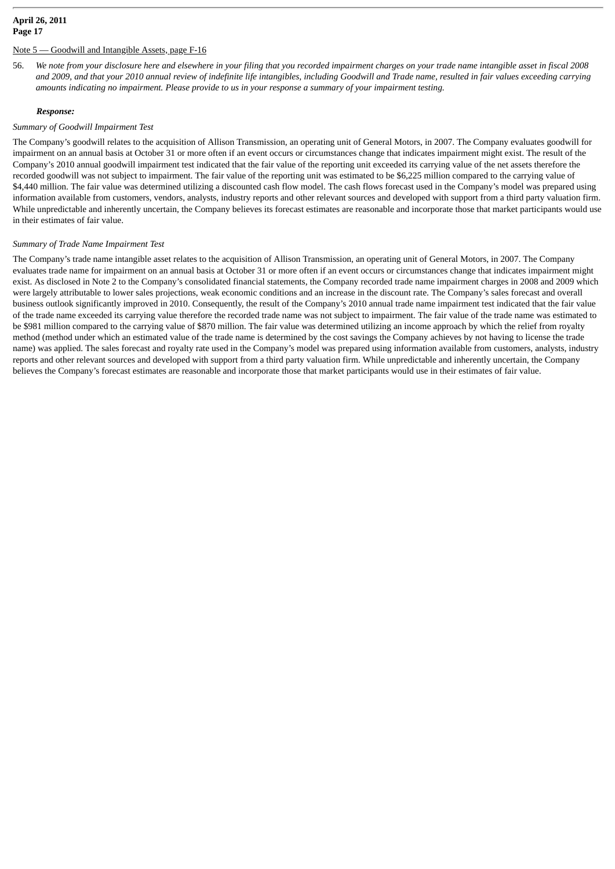## Note 5 — Goodwill and Intangible Assets, page F-16

56. *We note from your disclosure here and elsewhere in your filing that you recorded impairment charges on your trade name intangible asset in fiscal 2008 and 2009, and that your 2010 annual review of indefinite life intangibles, including Goodwill and Trade name, resulted in fair values exceeding carrying amounts indicating no impairment. Please provide to us in your response a summary of your impairment testing.*

#### *Response:*

#### *Summary of Goodwill Impairment Test*

The Company's goodwill relates to the acquisition of Allison Transmission, an operating unit of General Motors, in 2007. The Company evaluates goodwill for impairment on an annual basis at October 31 or more often if an event occurs or circumstances change that indicates impairment might exist. The result of the Company's 2010 annual goodwill impairment test indicated that the fair value of the reporting unit exceeded its carrying value of the net assets therefore the recorded goodwill was not subject to impairment. The fair value of the reporting unit was estimated to be \$6,225 million compared to the carrying value of \$4,440 million. The fair value was determined utilizing a discounted cash flow model. The cash flows forecast used in the Company's model was prepared using information available from customers, vendors, analysts, industry reports and other relevant sources and developed with support from a third party valuation firm. While unpredictable and inherently uncertain, the Company believes its forecast estimates are reasonable and incorporate those that market participants would use in their estimates of fair value.

#### *Summary of Trade Name Impairment Test*

The Company's trade name intangible asset relates to the acquisition of Allison Transmission, an operating unit of General Motors, in 2007. The Company evaluates trade name for impairment on an annual basis at October 31 or more often if an event occurs or circumstances change that indicates impairment might exist. As disclosed in Note 2 to the Company's consolidated financial statements, the Company recorded trade name impairment charges in 2008 and 2009 which were largely attributable to lower sales projections, weak economic conditions and an increase in the discount rate. The Company's sales forecast and overall business outlook significantly improved in 2010. Consequently, the result of the Company's 2010 annual trade name impairment test indicated that the fair value of the trade name exceeded its carrying value therefore the recorded trade name was not subject to impairment. The fair value of the trade name was estimated to be \$981 million compared to the carrying value of \$870 million. The fair value was determined utilizing an income approach by which the relief from royalty method (method under which an estimated value of the trade name is determined by the cost savings the Company achieves by not having to license the trade name) was applied. The sales forecast and royalty rate used in the Company's model was prepared using information available from customers, analysts, industry reports and other relevant sources and developed with support from a third party valuation firm. While unpredictable and inherently uncertain, the Company believes the Company's forecast estimates are reasonable and incorporate those that market participants would use in their estimates of fair value.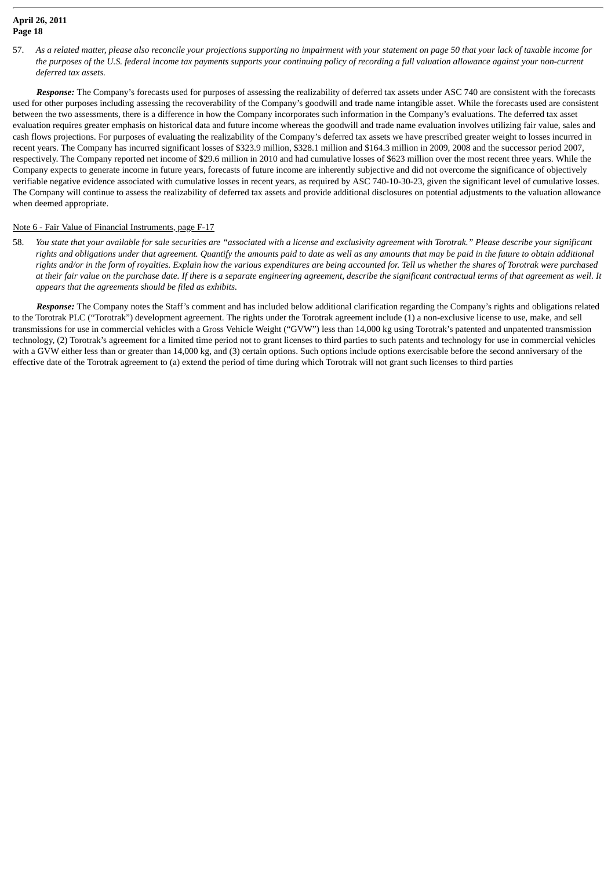57. *As a related matter, please also reconcile your projections supporting no impairment with your statement on page 50 that your lack of taxable income for the purposes of the U.S. federal income tax payments supports your continuing policy of recording a full valuation allowance against your non-current deferred tax assets.*

Response: The Company's forecasts used for purposes of assessing the realizability of deferred tax assets under ASC 740 are consistent with the forecasts used for other purposes including assessing the recoverability of the Company's goodwill and trade name intangible asset. While the forecasts used are consistent between the two assessments, there is a difference in how the Company incorporates such information in the Company's evaluations. The deferred tax asset evaluation requires greater emphasis on historical data and future income whereas the goodwill and trade name evaluation involves utilizing fair value, sales and cash flows projections. For purposes of evaluating the realizability of the Company's deferred tax assets we have prescribed greater weight to losses incurred in recent years. The Company has incurred significant losses of \$323.9 million, \$328.1 million and \$164.3 million in 2009, 2008 and the successor period 2007, respectively. The Company reported net income of \$29.6 million in 2010 and had cumulative losses of \$623 million over the most recent three years. While the Company expects to generate income in future years, forecasts of future income are inherently subjective and did not overcome the significance of objectively verifiable negative evidence associated with cumulative losses in recent years, as required by ASC 740-10-30-23, given the significant level of cumulative losses. The Company will continue to assess the realizability of deferred tax assets and provide additional disclosures on potential adjustments to the valuation allowance when deemed appropriate.

## Note 6 - Fair Value of Financial Instruments, page F-17

58. *You state that your available for sale securities are "associated with a license and exclusivity agreement with Torotrak." Please describe your significant rights and obligations under that agreement. Quantify the amounts paid to date as well as any amounts that may be paid in the future to obtain additional rights and/or in the form of royalties. Explain how the various expenditures are being accounted for. Tell us whether the shares of Torotrak were purchased at their fair value on the purchase date. If there is a separate engineering agreement, describe the significant contractual terms of that agreement as well. It appears that the agreements should be filed as exhibits.*

*Response:* The Company notes the Staff's comment and has included below additional clarification regarding the Company's rights and obligations related to the Torotrak PLC ("Torotrak") development agreement. The rights under the Torotrak agreement include (1) a non-exclusive license to use, make, and sell transmissions for use in commercial vehicles with a Gross Vehicle Weight ("GVW") less than 14,000 kg using Torotrak's patented and unpatented transmission technology, (2) Torotrak's agreement for a limited time period not to grant licenses to third parties to such patents and technology for use in commercial vehicles with a GVW either less than or greater than 14,000 kg, and (3) certain options. Such options include options exercisable before the second anniversary of the effective date of the Torotrak agreement to (a) extend the period of time during which Torotrak will not grant such licenses to third parties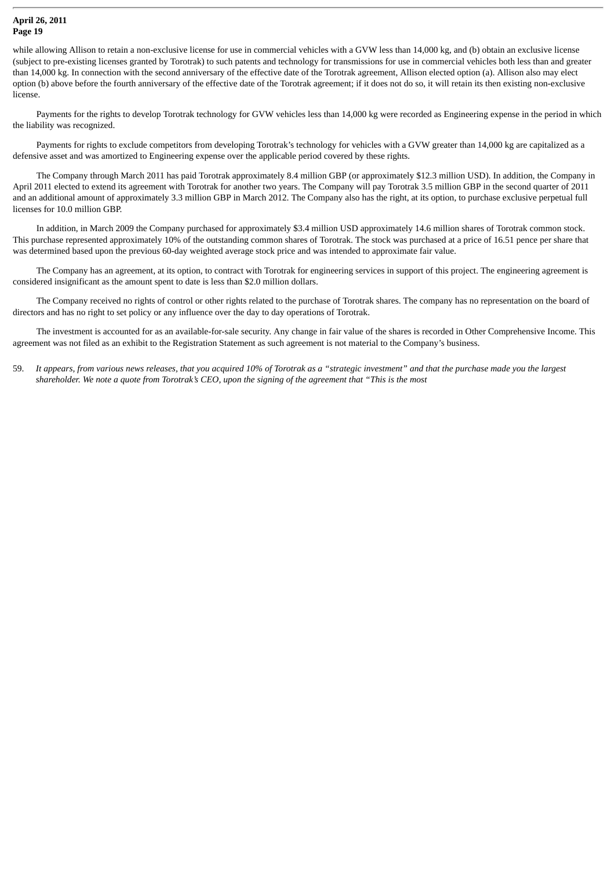while allowing Allison to retain a non-exclusive license for use in commercial vehicles with a GVW less than 14,000 kg, and (b) obtain an exclusive license (subject to pre-existing licenses granted by Torotrak) to such patents and technology for transmissions for use in commercial vehicles both less than and greater than 14,000 kg. In connection with the second anniversary of the effective date of the Torotrak agreement, Allison elected option (a). Allison also may elect option (b) above before the fourth anniversary of the effective date of the Torotrak agreement; if it does not do so, it will retain its then existing non-exclusive license.

Payments for the rights to develop Torotrak technology for GVW vehicles less than 14,000 kg were recorded as Engineering expense in the period in which the liability was recognized.

Payments for rights to exclude competitors from developing Torotrak's technology for vehicles with a GVW greater than 14,000 kg are capitalized as a defensive asset and was amortized to Engineering expense over the applicable period covered by these rights.

The Company through March 2011 has paid Torotrak approximately 8.4 million GBP (or approximately \$12.3 million USD). In addition, the Company in April 2011 elected to extend its agreement with Torotrak for another two years. The Company will pay Torotrak 3.5 million GBP in the second quarter of 2011 and an additional amount of approximately 3.3 million GBP in March 2012. The Company also has the right, at its option, to purchase exclusive perpetual full licenses for 10.0 million GBP.

In addition, in March 2009 the Company purchased for approximately \$3.4 million USD approximately 14.6 million shares of Torotrak common stock. This purchase represented approximately 10% of the outstanding common shares of Torotrak. The stock was purchased at a price of 16.51 pence per share that was determined based upon the previous 60-day weighted average stock price and was intended to approximate fair value.

The Company has an agreement, at its option, to contract with Torotrak for engineering services in support of this project. The engineering agreement is considered insignificant as the amount spent to date is less than \$2.0 million dollars.

The Company received no rights of control or other rights related to the purchase of Torotrak shares. The company has no representation on the board of directors and has no right to set policy or any influence over the day to day operations of Torotrak.

The investment is accounted for as an available-for-sale security. Any change in fair value of the shares is recorded in Other Comprehensive Income. This agreement was not filed as an exhibit to the Registration Statement as such agreement is not material to the Company's business.

59. *It appears, from various news releases, that you acquired 10% of Torotrak as a "strategic investment" and that the purchase made you the largest shareholder. We note a quote from Torotrak's CEO, upon the signing of the agreement that "This is the most*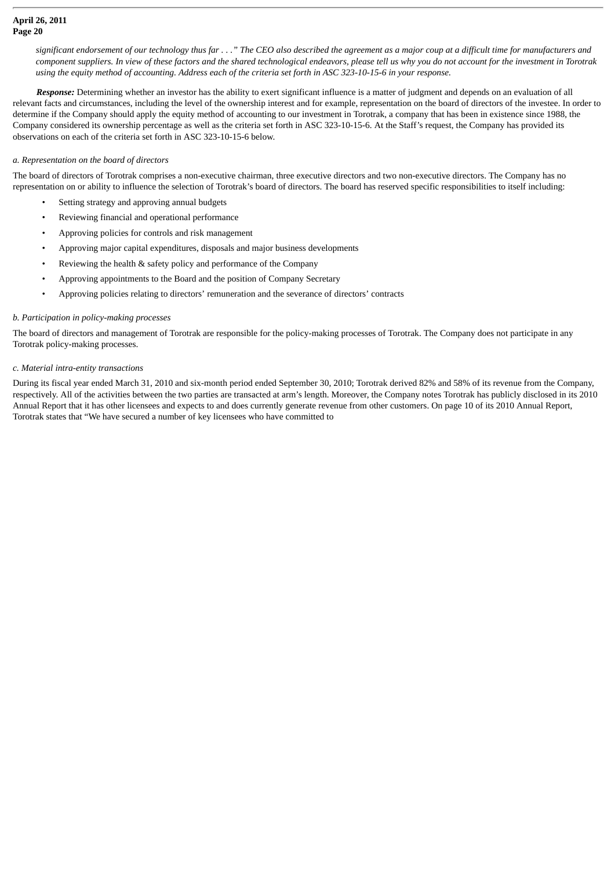*significant endorsement of our technology thus far . . ." The CEO also described the agreement as a major coup at a difficult time for manufacturers and component suppliers. In view of these factors and the shared technological endeavors, please tell us why you do not account for the investment in Torotrak using the equity method of accounting. Address each of the criteria set forth in ASC 323-10-15-6 in your response.*

*Response:* Determining whether an investor has the ability to exert significant influence is a matter of judgment and depends on an evaluation of all relevant facts and circumstances, including the level of the ownership interest and for example, representation on the board of directors of the investee. In order to determine if the Company should apply the equity method of accounting to our investment in Torotrak, a company that has been in existence since 1988, the Company considered its ownership percentage as well as the criteria set forth in ASC 323-10-15-6. At the Staff's request, the Company has provided its observations on each of the criteria set forth in ASC 323-10-15-6 below.

## *a. Representation on the board of directors*

The board of directors of Torotrak comprises a non-executive chairman, three executive directors and two non-executive directors. The Company has no representation on or ability to influence the selection of Torotrak's board of directors. The board has reserved specific responsibilities to itself including:

- Setting strategy and approving annual budgets
- Reviewing financial and operational performance
- Approving policies for controls and risk management
- Approving major capital expenditures, disposals and major business developments
- Reviewing the health & safety policy and performance of the Company
- Approving appointments to the Board and the position of Company Secretary
- Approving policies relating to directors' remuneration and the severance of directors' contracts

## *b. Participation in policy-making processes*

The board of directors and management of Torotrak are responsible for the policy-making processes of Torotrak. The Company does not participate in any Torotrak policy-making processes.

# *c. Material intra-entity transactions*

During its fiscal year ended March 31, 2010 and six-month period ended September 30, 2010; Torotrak derived 82% and 58% of its revenue from the Company, respectively. All of the activities between the two parties are transacted at arm's length. Moreover, the Company notes Torotrak has publicly disclosed in its 2010 Annual Report that it has other licensees and expects to and does currently generate revenue from other customers. On page 10 of its 2010 Annual Report, Torotrak states that "We have secured a number of key licensees who have committed to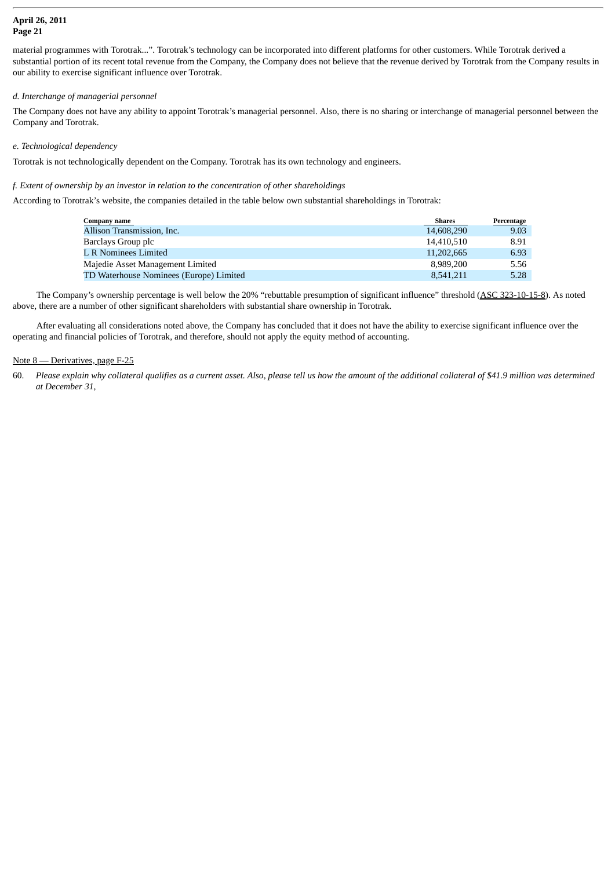material programmes with Torotrak...". Torotrak's technology can be incorporated into different platforms for other customers. While Torotrak derived a substantial portion of its recent total revenue from the Company, the Company does not believe that the revenue derived by Torotrak from the Company results in our ability to exercise significant influence over Torotrak.

# *d. Interchange of managerial personnel*

The Company does not have any ability to appoint Torotrak's managerial personnel. Also, there is no sharing or interchange of managerial personnel between the Company and Torotrak.

# *e. Technological dependency*

Torotrak is not technologically dependent on the Company. Torotrak has its own technology and engineers.

# *f. Extent of ownership by an investor in relation to the concentration of other shareholdings*

According to Torotrak's website, the companies detailed in the table below own substantial shareholdings in Torotrak:

| Company name                            | <b>Shares</b> | Percentage |
|-----------------------------------------|---------------|------------|
| Allison Transmission, Inc.              | 14,608,290    | 9.03       |
| Barclays Group plc                      | 14.410.510    | 8.91       |
| L R Nominees Limited                    | 11,202,665    | 6.93       |
| Majedie Asset Management Limited        | 8.989.200     | 5.56       |
| TD Waterhouse Nominees (Europe) Limited | 8,541,211     | 5.28       |

The Company's ownership percentage is well below the 20% "rebuttable presumption of significant influence" threshold (ASC 323-10-15-8). As noted above, there are a number of other significant shareholders with substantial share ownership in Torotrak.

After evaluating all considerations noted above, the Company has concluded that it does not have the ability to exercise significant influence over the operating and financial policies of Torotrak, and therefore, should not apply the equity method of accounting.

## Note 8 — Derivatives, page F-25

<sup>60.</sup> *Please explain why collateral qualifies as a current asset. Also, please tell us how the amount of the additional collateral of \$41.9 million was determined at December 31,*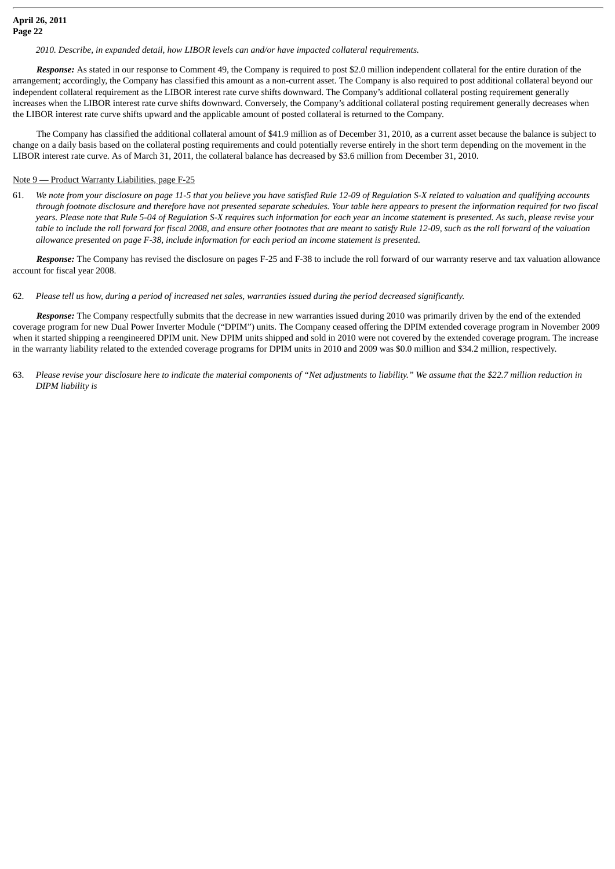*2010. Describe, in expanded detail, how LIBOR levels can and/or have impacted collateral requirements.*

*Response:* As stated in our response to Comment 49, the Company is required to post \$2.0 million independent collateral for the entire duration of the arrangement; accordingly, the Company has classified this amount as a non-current asset. The Company is also required to post additional collateral beyond our independent collateral requirement as the LIBOR interest rate curve shifts downward. The Company's additional collateral posting requirement generally increases when the LIBOR interest rate curve shifts downward. Conversely, the Company's additional collateral posting requirement generally decreases when the LIBOR interest rate curve shifts upward and the applicable amount of posted collateral is returned to the Company.

The Company has classified the additional collateral amount of \$41.9 million as of December 31, 2010, as a current asset because the balance is subject to change on a daily basis based on the collateral posting requirements and could potentially reverse entirely in the short term depending on the movement in the LIBOR interest rate curve. As of March 31, 2011, the collateral balance has decreased by \$3.6 million from December 31, 2010.

### Note 9 — Product Warranty Liabilities, page F-25

61. *We note from your disclosure on page 11-5 that you believe you have satisfied Rule 12-09 of Regulation S-X related to valuation and qualifying accounts through footnote disclosure and therefore have not presented separate schedules. Your table here appears to present the information required for two fiscal years. Please note that Rule 5-04 of Regulation S-X requires such information for each year an income statement is presented. As such, please revise your table to include the roll forward for fiscal 2008, and ensure other footnotes that are meant to satisfy Rule 12-09, such as the roll forward of the valuation allowance presented on page F-38, include information for each period an income statement is presented.*

*Response:* The Company has revised the disclosure on pages F-25 and F-38 to include the roll forward of our warranty reserve and tax valuation allowance account for fiscal year 2008.

#### 62. *Please tell us how, during a period of increased net sales, warranties issued during the period decreased significantly.*

*Response:* The Company respectfully submits that the decrease in new warranties issued during 2010 was primarily driven by the end of the extended coverage program for new Dual Power Inverter Module ("DPIM") units. The Company ceased offering the DPIM extended coverage program in November 2009 when it started shipping a reengineered DPIM unit. New DPIM units shipped and sold in 2010 were not covered by the extended coverage program. The increase in the warranty liability related to the extended coverage programs for DPIM units in 2010 and 2009 was \$0.0 million and \$34.2 million, respectively.

63. *Please revise your disclosure here to indicate the material components of "Net adjustments to liability." We assume that the \$22.7 million reduction in DIPM liability is*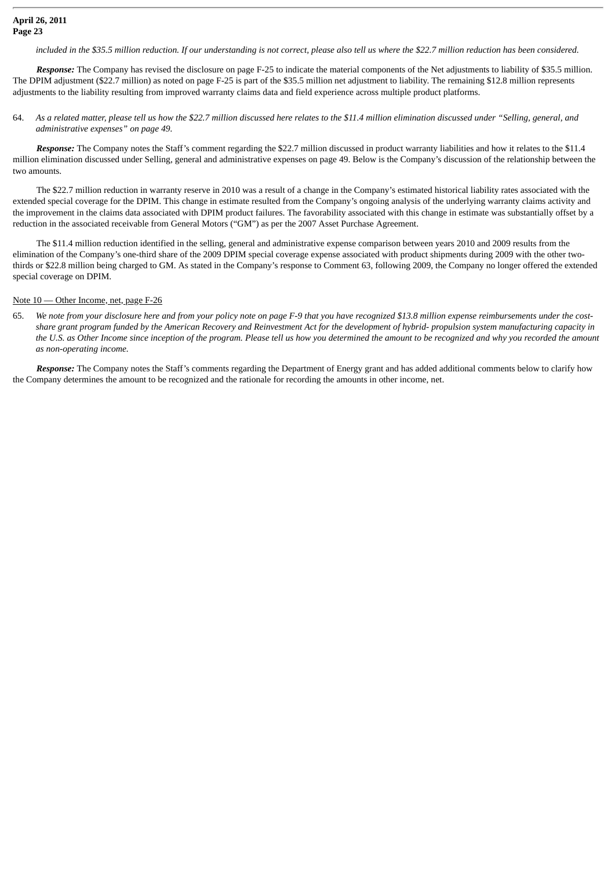*included in the \$35.5 million reduction. If our understanding is not correct, please also tell us where the \$22.7 million reduction has been considered.*

*Response:* The Company has revised the disclosure on page F-25 to indicate the material components of the Net adjustments to liability of \$35.5 million. The DPIM adjustment (\$22.7 million) as noted on page F-25 is part of the \$35.5 million net adjustment to liability. The remaining \$12.8 million represents adjustments to the liability resulting from improved warranty claims data and field experience across multiple product platforms.

64. *As a related matter, please tell us how the \$22.7 million discussed here relates to the \$11.4 million elimination discussed under "Selling, general, and administrative expenses" on page 49.*

*Response:* The Company notes the Staff's comment regarding the \$22.7 million discussed in product warranty liabilities and how it relates to the \$11.4 million elimination discussed under Selling, general and administrative expenses on page 49. Below is the Company's discussion of the relationship between the two amounts.

The \$22.7 million reduction in warranty reserve in 2010 was a result of a change in the Company's estimated historical liability rates associated with the extended special coverage for the DPIM. This change in estimate resulted from the Company's ongoing analysis of the underlying warranty claims activity and the improvement in the claims data associated with DPIM product failures. The favorability associated with this change in estimate was substantially offset by a reduction in the associated receivable from General Motors ("GM") as per the 2007 Asset Purchase Agreement.

The \$11.4 million reduction identified in the selling, general and administrative expense comparison between years 2010 and 2009 results from the elimination of the Company's one-third share of the 2009 DPIM special coverage expense associated with product shipments during 2009 with the other twothirds or \$22.8 million being charged to GM. As stated in the Company's response to Comment 63, following 2009, the Company no longer offered the extended special coverage on DPIM.

#### Note 10 — Other Income, net, page F-26

65. *We note from your disclosure here and from your policy note on page F-9 that you have recognized \$13.8 million expense reimbursements under the costshare grant program funded by the American Recovery and Reinvestment Act for the development of hybrid- propulsion system manufacturing capacity in the U.S. as Other Income since inception of the program. Please tell us how you determined the amount to be recognized and why you recorded the amount as non-operating income.*

*Response:* The Company notes the Staff's comments regarding the Department of Energy grant and has added additional comments below to clarify how the Company determines the amount to be recognized and the rationale for recording the amounts in other income, net.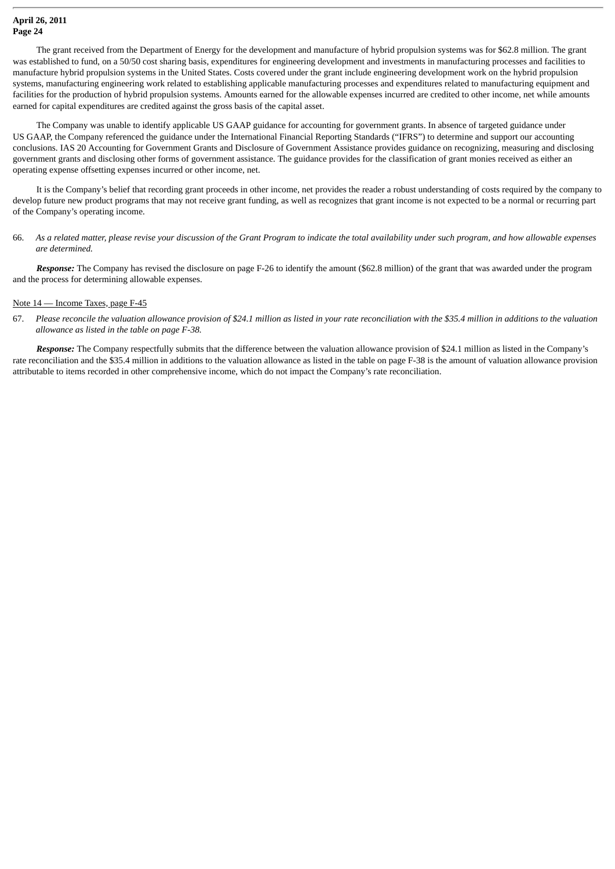The grant received from the Department of Energy for the development and manufacture of hybrid propulsion systems was for \$62.8 million. The grant was established to fund, on a 50/50 cost sharing basis, expenditures for engineering development and investments in manufacturing processes and facilities to manufacture hybrid propulsion systems in the United States. Costs covered under the grant include engineering development work on the hybrid propulsion systems, manufacturing engineering work related to establishing applicable manufacturing processes and expenditures related to manufacturing equipment and facilities for the production of hybrid propulsion systems. Amounts earned for the allowable expenses incurred are credited to other income, net while amounts earned for capital expenditures are credited against the gross basis of the capital asset.

The Company was unable to identify applicable US GAAP guidance for accounting for government grants. In absence of targeted guidance under US GAAP, the Company referenced the guidance under the International Financial Reporting Standards ("IFRS") to determine and support our accounting conclusions. IAS 20 Accounting for Government Grants and Disclosure of Government Assistance provides guidance on recognizing, measuring and disclosing government grants and disclosing other forms of government assistance. The guidance provides for the classification of grant monies received as either an operating expense offsetting expenses incurred or other income, net.

It is the Company's belief that recording grant proceeds in other income, net provides the reader a robust understanding of costs required by the company to develop future new product programs that may not receive grant funding, as well as recognizes that grant income is not expected to be a normal or recurring part of the Company's operating income.

66. *As a related matter, please revise your discussion of the Grant Program to indicate the total availability under such program, and how allowable expenses are determined.*

*Response:* The Company has revised the disclosure on page F-26 to identify the amount (\$62.8 million) of the grant that was awarded under the program and the process for determining allowable expenses.

## Note 14 — Income Taxes, page F-45

67. *Please reconcile the valuation allowance provision of \$24.1 million as listed in your rate reconciliation with the \$35.4 million in additions to the valuation allowance as listed in the table on page F-38.*

*Response:* The Company respectfully submits that the difference between the valuation allowance provision of \$24.1 million as listed in the Company's rate reconciliation and the \$35.4 million in additions to the valuation allowance as listed in the table on page F-38 is the amount of valuation allowance provision attributable to items recorded in other comprehensive income, which do not impact the Company's rate reconciliation.